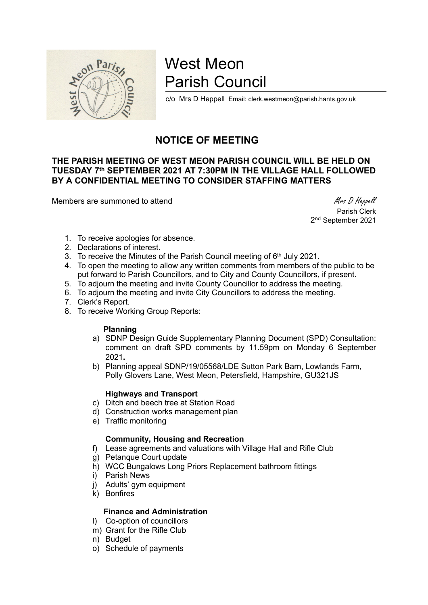

# West Meon Parish Council

c/o Mrs D Heppell Email: clerk.westmeon@parish.hants.gov.uk

# NOTICE OF MEETING

# THE PARISH MEETING OF WEST MEON PARISH COUNCIL WILL BE HELD ON TUESDAY 7th SEPTEMBER 2021 AT 7:30PM IN THE VILLAGE HALL FOLLOWED BY A CONFIDENTIAL MEETING TO CONSIDER STAFFING MATTERS

Members are summoned to attend Members are summoned to attend Members are summoned to attend Members and Members are summoned to attend  $M$ rs D Heppell

 Parish Clerk 2<sup>nd</sup> September 2021

- 1. To receive apologies for absence.
- 2. Declarations of interest.
- 3. To receive the Minutes of the Parish Council meeting of 6<sup>th</sup> July 2021.
- 4. To open the meeting to allow any written comments from members of the public to be put forward to Parish Councillors, and to City and County Councillors, if present.
- 5. To adjourn the meeting and invite County Councillor to address the meeting.
- 6. To adjourn the meeting and invite City Councillors to address the meeting.
- 7. Clerk's Report.
- 8. To receive Working Group Reports:

#### Planning

- a) SDNP Design Guide Supplementary Planning Document (SPD) Consultation: comment on draft SPD comments by 11.59pm on Monday 6 September 2021.
- b) Planning appeal SDNP/19/05568/LDE Sutton Park Barn, Lowlands Farm, Polly Glovers Lane, West Meon, Petersfield, Hampshire, GU321JS

#### Highways and Transport

- c) Ditch and beech tree at Station Road
- d) Construction works management plan
- e) Traffic monitoring

## Community, Housing and Recreation

- f) Lease agreements and valuations with Village Hall and Rifle Club
- g) Petanque Court update
- h) WCC Bungalows Long Priors Replacement bathroom fittings
- i) Parish News
- j) Adults' gym equipment
- k) Bonfires

## Finance and Administration

- l) Co-option of councillors
- m) Grant for the Rifle Club
- n) Budget
- o) Schedule of payments